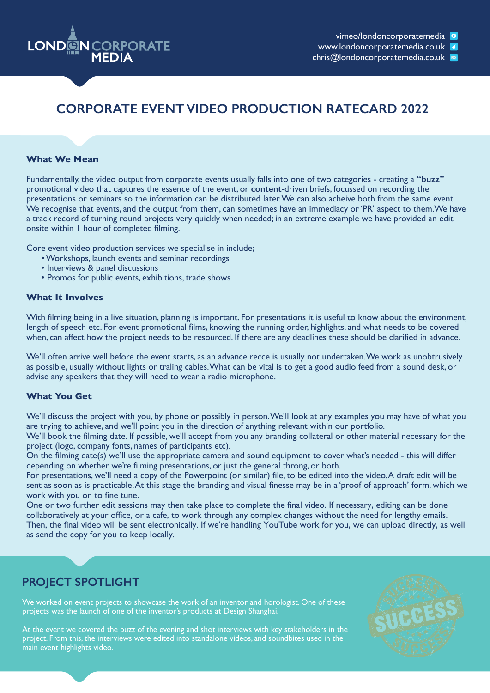

www.londoncorporatemedia.co.uk

chris@londoncorporatemedia.co.uk

## **CORPORATE EVENT VIDEO PRODUCTION RATECARD 2022**

### **What We Mean**

Fundamentally, the video output from corporate events usually falls into one of two categories - creating a **"buzz"**  promotional video that captures the essence of the event, or **content**-driven briefs, focussed on recording the presentations or seminars so the information can be distributed later. We can also acheive both from the same event. We recognise that events, and the output from them, can sometimes have an immediacy or 'PR' aspect to them.We have a track record of turning round projects very quickly when needed; in an extreme example we have provided an edit onsite within 1 hour of completed filming.

Core event video production services we specialise in include;

- Workshops, launch events and seminar recordings
- Interviews & panel discussions
- Promos for public events, exhibitions, trade shows

### **What It Involves**

With filming being in a live situation, planning is important. For presentations it is useful to know about the environment, length of speech etc. For event promotional films, knowing the running order, highlights, and what needs to be covered when, can affect how the project needs to be resourced. If there are any deadlines these should be clarified in advance.

We'll often arrive well before the event starts, as an advance recce is usually not undertaken. We work as unobtrusively as possible, usually without lights or traling cables. What can be vital is to get a good audio feed from a sound desk, or advise any speakers that they will need to wear a radio microphone.

### **What You Get**

We'll discuss the project with you, by phone or possibly in person. We'll look at any examples you may have of what you are trying to achieve, and we'll point you in the direction of anything relevant within our portfolio.

We'll book the filming date. If possible, we'll accept from you any branding collateral or other material necessary for the project (logo, company fonts, names of participants etc).

On the filming date(s) we'll use the appropriate camera and sound equipment to cover what's needed - this will differ depending on whether we're filming presentations, or just the general throng, or both.

For presentations, we'll need a copy of the Powerpoint (or similar) file, to be edited into the video. A draft edit will be sent as soon as is practicable. At this stage the branding and visual finesse may be in a 'proof of approach' form, which we work with you on to fine tune.

One or two further edit sessions may then take place to complete the final video. If necessary, editing can be done collaboratively at your office, or a cafe, to work through any complex changes without the need for lengthy emails. Then, the final video will be sent electronically. If we're handling YouTube work for you, we can upload directly, as well as send the copy for you to keep locally.

## **PROJECT SPOTLIGHT**

We worked on event projects to showcase the work of an inventor and horologist. One of these projects was the launch of one of the inventor's products at Design Shanghai.

At the event we covered the buzz of the evening and shot interviews with key stakeholders in the project. From this, the interviews were edited into standalone videos, and soundbites used in the main event highlights video.

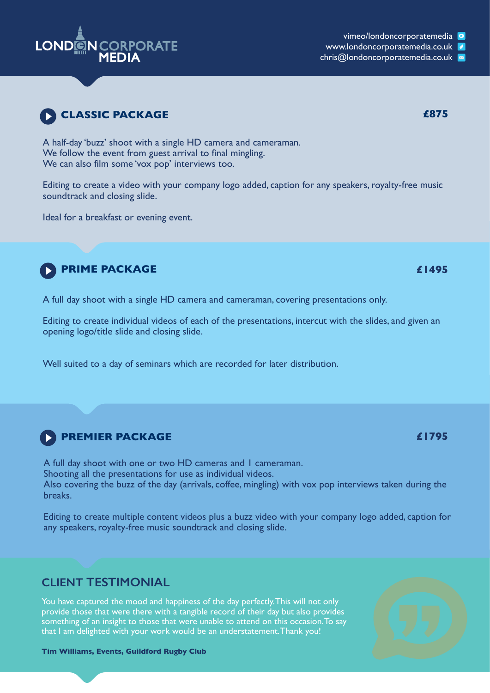

www.londoncorporatemedia.co.uk

chris@londoncorporatemedia.co.uk

**CLIENT TESTIMONIAL**

You have captured the mood and happiness of the day perfectly. This will not only provide those that were there with a tangible record of their day but also provides something of an insight to those that were unable to attend on this occasion. To say that I am delighted with your work would be an understatement. Thank you!

**Tim Williams, Events, Guildford Rugby Club**

## **CLASSIC PACKAGE 6875**

A half-day 'buzz' shoot with a single HD camera and cameraman. We follow the event from guest arrival to final mingling. We can also film some 'vox pop' interviews too.

Editing to create a video with your company logo added, caption for any speakers, royalty-free music soundtrack and closing slide.

Ideal for a breakfast or evening event.

# **PRIME PACKAGE**

A full day shoot with a single HD camera and cameraman, covering presentations only.

Editing to create individual videos of each of the presentations, intercut with the slides, and given an opening logo/title slide and closing slide.

Well suited to a day of seminars which are recorded for later distribution.

## **PREMIER PACKAGE**

A full day shoot with one or two HD cameras and 1 cameraman. Shooting all the presentations for use as individual videos. Also covering the buzz of the day (arrivals, coffee, mingling) with vox pop interviews taken during the breaks.

Editing to create multiple content videos plus a buzz video with your company logo added, caption for any speakers, royalty-free music soundtrack and closing slide.





**£1495**

**£1795**